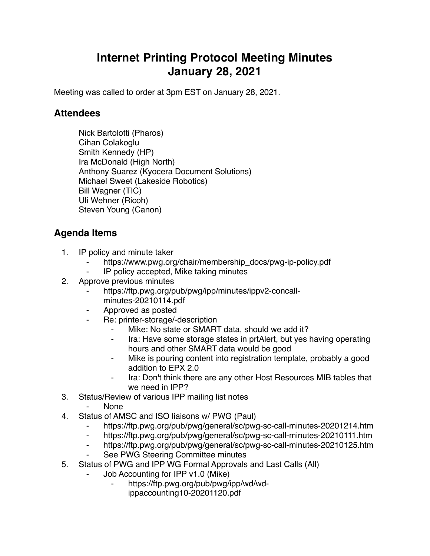## **Internet Printing Protocol Meeting Minutes January 28, 2021**

Meeting was called to order at 3pm EST on January 28, 2021.

## **Attendees**

Nick Bartolotti (Pharos) Cihan Colakoglu Smith Kennedy (HP) Ira McDonald (High North) Anthony Suarez (Kyocera Document Solutions) Michael Sweet (Lakeside Robotics) Bill Wagner (TIC) Uli Wehner (Ricoh) Steven Young (Canon)

## **Agenda Items**

- 1. IP policy and minute taker
	- https://www.pwg.org/chair/membership\_docs/pwg-ip-policy.pdf
	- IP policy accepted, Mike taking minutes
- 2. Approve previous minutes
	- https://ftp.pwg.org/pub/pwg/ipp/minutes/ippv2-concallminutes-20210114.pdf
	- ⁃ Approved as posted
	- Re: printer-storage/-description
		- Mike: No state or SMART data, should we add it?
		- Ira: Have some storage states in prtAlert, but yes having operating hours and other SMART data would be good
		- Mike is pouring content into registration template, probably a good addition to EPX 2.0
		- Ira: Don't think there are any other Host Resources MIB tables that we need in IPP?
- 3. Status/Review of various IPP mailing list notes
	- ⁃ None
- 4. Status of AMSC and ISO liaisons w/ PWG (Paul)
	- ⁃ https://ftp.pwg.org/pub/pwg/general/sc/pwg-sc-call-minutes-20201214.htm
	- ⁃ https://ftp.pwg.org/pub/pwg/general/sc/pwg-sc-call-minutes-20210111.htm
	- ⁃ https://ftp.pwg.org/pub/pwg/general/sc/pwg-sc-call-minutes-20210125.htm
	- See PWG Steering Committee minutes
- 5. Status of PWG and IPP WG Formal Approvals and Last Calls (All)
	- Job Accounting for IPP v1.0 (Mike)
		- ⁃ https://ftp.pwg.org/pub/pwg/ipp/wd/wd
			- ippaccounting10-20201120.pdf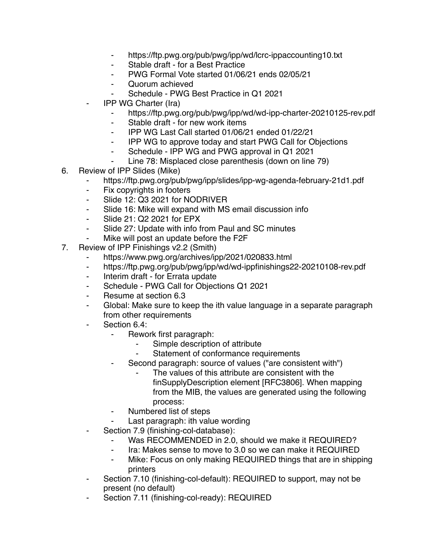- ⁃ https://ftp.pwg.org/pub/pwg/ipp/wd/lcrc-ippaccounting10.txt
- ⁃ Stable draft for a Best Practice
- PWG Formal Vote started 01/06/21 ends 02/05/21
- ⁃ Quorum achieved
	- Schedule PWG Best Practice in Q1 2021
- **IPP WG Charter (Ira)** 
	- https://ftp.pwg.org/pub/pwg/ipp/wd/wd-ipp-charter-20210125-rev.pdf
	- ⁃ Stable draft for new work items
	- ⁃ IPP WG Last Call started 01/06/21 ended 01/22/21
	- ⁃ IPP WG to approve today and start PWG Call for Objections
	- Schedule IPP WG and PWG approval in Q1 2021
	- ⁃ Line 78: Misplaced close parenthesis (down on line 79)
- 6. Review of IPP Slides (Mike)
	- ⁃ https://ftp.pwg.org/pub/pwg/ipp/slides/ipp-wg-agenda-february-21d1.pdf
	- ⁃ Fix copyrights in footers
	- ⁃ Slide 12: Q3 2021 for NODRIVER
	- ⁃ Slide 16: Mike will expand with MS email discussion info
	- ⁃ Slide 21: Q2 2021 for EPX
	- ⁃ Slide 27: Update with info from Paul and SC minutes
	- Mike will post an update before the F2F
- 7. Review of IPP Finishings v2.2 (Smith)
	- https://www.pwg.org/archives/ipp/2021/020833.html
	- https://ftp.pwg.org/pub/pwg/ipp/wd/wd-ippfinishings22-20210108-rev.pdf
	- ⁃ Interim draft for Errata update
	- ⁃ Schedule PWG Call for Objections Q1 2021
	- ⁃ Resume at section 6.3
	- Global: Make sure to keep the ith value language in a separate paragraph from other requirements
	- Section 6.4:
		- Rework first paragraph:
			- Simple description of attribute
			- Statement of conformance requirements
			- Second paragraph: source of values ("are consistent with")
				- The values of this attribute are consistent with the finSupplyDescription element [RFC3806]. When mapping from the MIB, the values are generated using the following process:
			- Numbered list of steps
			- Last paragraph: ith value wording
	- Section 7.9 (finishing-col-database):
		- Was RECOMMENDED in 2.0, should we make it REQUIRED?
		- ⁃ Ira: Makes sense to move to 3.0 so we can make it REQUIRED
		- Mike: Focus on only making REQUIRED things that are in shipping printers
	- ⁃ Section 7.10 (finishing-col-default): REQUIRED to support, may not be present (no default)
	- Section 7.11 (finishing-col-ready): REQUIRED